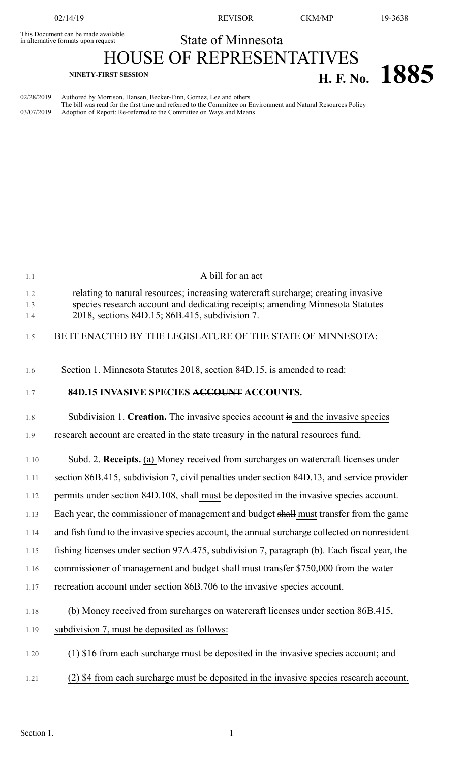This Document can be made available<br>in alternative formats upon request

02/14/19 REVISOR CKM/MP 19-3638

State of Minnesota

HOUSE OF REPRESENTATIVES

## **H. F. NINETY-FIRST** SESSION **H. F. No. 1885**

02/28/2019 Authored by Morrison, Hansen, Becker-Finn, Gomez, Lee and others The bill was read for the first time and referred to the Committee on Environment and Natural Resources Policy 03/07/2019 Adoption of Report: Re-referred to the Committee on Ways and Means

| 1.1               | A bill for an act                                                                                                                                                                                                    |
|-------------------|----------------------------------------------------------------------------------------------------------------------------------------------------------------------------------------------------------------------|
| 1.2<br>1.3<br>1.4 | relating to natural resources; increasing watercraft surcharge; creating invasive<br>species research account and dedicating receipts; amending Minnesota Statutes<br>2018, sections 84D.15; 86B.415, subdivision 7. |
| 1.5               | BE IT ENACTED BY THE LEGISLATURE OF THE STATE OF MINNESOTA:                                                                                                                                                          |
|                   |                                                                                                                                                                                                                      |
| 1.6               | Section 1. Minnesota Statutes 2018, section 84D.15, is amended to read:                                                                                                                                              |
| 1.7               | 84D.15 INVASIVE SPECIES ACCOUNT ACCOUNTS.                                                                                                                                                                            |
| 1.8               | Subdivision 1. Creation. The invasive species account is and the invasive species                                                                                                                                    |
| 1.9               | research account are created in the state treasury in the natural resources fund.                                                                                                                                    |
| 1.10              | Subd. 2. Receipts. (a) Money received from surcharges on watercraft licenses under                                                                                                                                   |
| 1.11              | section 86B.415, subdivision 7, civil penalties under section 84D.13, and service provider                                                                                                                           |
| 1.12              | permits under section 84D.108, shall must be deposited in the invasive species account.                                                                                                                              |
| 1.13              | Each year, the commissioner of management and budget shall must transfer from the game                                                                                                                               |
| 1.14              | and fish fund to the invasive species account, the annual surcharge collected on nonresident                                                                                                                         |
| 1.15              | fishing licenses under section 97A.475, subdivision 7, paragraph (b). Each fiscal year, the                                                                                                                          |
| 1.16              | commissioner of management and budget shall must transfer \$750,000 from the water                                                                                                                                   |
| 1.17              | recreation account under section 86B.706 to the invasive species account.                                                                                                                                            |
| 1.18              | (b) Money received from surcharges on watercraft licenses under section 86B.415,                                                                                                                                     |
| 1.19              | subdivision 7, must be deposited as follows:                                                                                                                                                                         |
| 1.20              | (1) \$16 from each surcharge must be deposited in the invasive species account; and                                                                                                                                  |
| 1.21              | (2) \$4 from each surcharge must be deposited in the invasive species research account.                                                                                                                              |
|                   |                                                                                                                                                                                                                      |